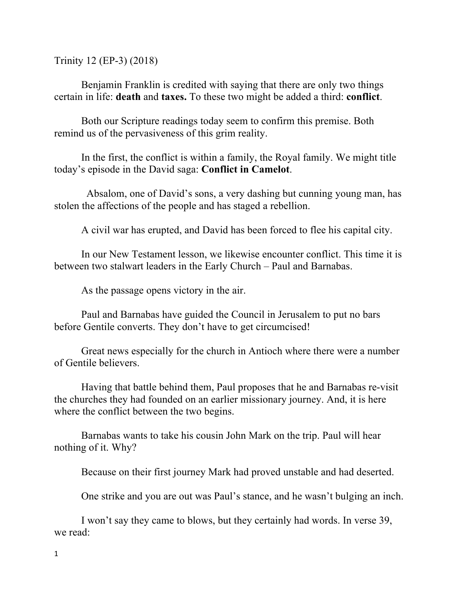Trinity 12 (EP-3) (2018)

Benjamin Franklin is credited with saying that there are only two things certain in life: **death** and **taxes.** To these two might be added a third: **conflict**.

Both our Scripture readings today seem to confirm this premise. Both remind us of the pervasiveness of this grim reality.

In the first, the conflict is within a family, the Royal family. We might title today's episode in the David saga: **Conflict in Camelot**.

Absalom, one of David's sons, a very dashing but cunning young man, has stolen the affections of the people and has staged a rebellion.

A civil war has erupted, and David has been forced to flee his capital city.

In our New Testament lesson, we likewise encounter conflict. This time it is between two stalwart leaders in the Early Church – Paul and Barnabas.

As the passage opens victory in the air.

Paul and Barnabas have guided the Council in Jerusalem to put no bars before Gentile converts. They don't have to get circumcised!

Great news especially for the church in Antioch where there were a number of Gentile believers.

Having that battle behind them, Paul proposes that he and Barnabas re-visit the churches they had founded on an earlier missionary journey. And, it is here where the conflict between the two begins.

Barnabas wants to take his cousin John Mark on the trip. Paul will hear nothing of it. Why?

Because on their first journey Mark had proved unstable and had deserted.

One strike and you are out was Paul's stance, and he wasn't bulging an inch.

I won't say they came to blows, but they certainly had words. In verse 39, we read: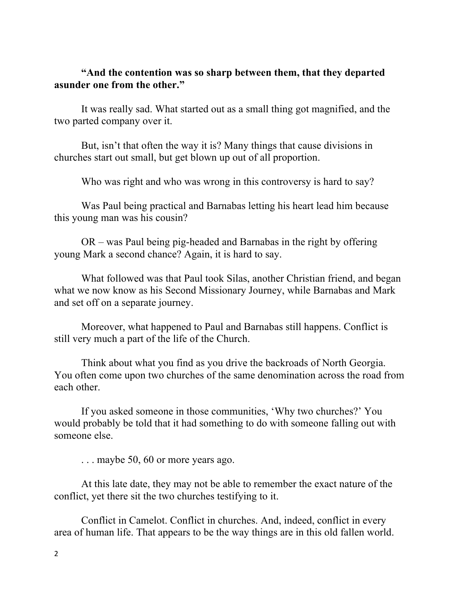## **"And the contention was so sharp between them, that they departed asunder one from the other."**

It was really sad. What started out as a small thing got magnified, and the two parted company over it.

But, isn't that often the way it is? Many things that cause divisions in churches start out small, but get blown up out of all proportion.

Who was right and who was wrong in this controversy is hard to say?

Was Paul being practical and Barnabas letting his heart lead him because this young man was his cousin?

OR – was Paul being pig-headed and Barnabas in the right by offering young Mark a second chance? Again, it is hard to say.

What followed was that Paul took Silas, another Christian friend, and began what we now know as his Second Missionary Journey, while Barnabas and Mark and set off on a separate journey.

Moreover, what happened to Paul and Barnabas still happens. Conflict is still very much a part of the life of the Church.

Think about what you find as you drive the backroads of North Georgia. You often come upon two churches of the same denomination across the road from each other.

If you asked someone in those communities, 'Why two churches?' You would probably be told that it had something to do with someone falling out with someone else.

... maybe 50, 60 or more years ago.

At this late date, they may not be able to remember the exact nature of the conflict, yet there sit the two churches testifying to it.

Conflict in Camelot. Conflict in churches. And, indeed, conflict in every area of human life. That appears to be the way things are in this old fallen world.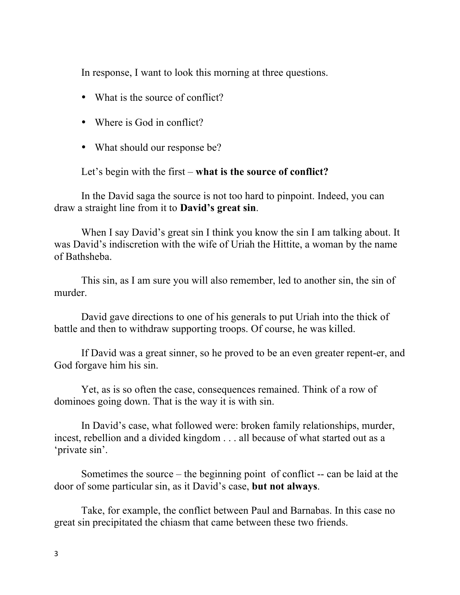In response, I want to look this morning at three questions.

- What is the source of conflict?
- Where is God in conflict?
- What should our response be?

Let's begin with the first – **what is the source of conflict?**

In the David saga the source is not too hard to pinpoint. Indeed, you can draw a straight line from it to **David's great sin**.

When I say David's great sin I think you know the sin I am talking about. It was David's indiscretion with the wife of Uriah the Hittite, a woman by the name of Bathsheba.

This sin, as I am sure you will also remember, led to another sin, the sin of murder.

David gave directions to one of his generals to put Uriah into the thick of battle and then to withdraw supporting troops. Of course, he was killed.

If David was a great sinner, so he proved to be an even greater repent-er, and God forgave him his sin.

Yet, as is so often the case, consequences remained. Think of a row of dominoes going down. That is the way it is with sin.

In David's case, what followed were: broken family relationships, murder, incest, rebellion and a divided kingdom . . . all because of what started out as a 'private sin'.

Sometimes the source – the beginning point of conflict -- can be laid at the door of some particular sin, as it David's case, **but not always**.

Take, for example, the conflict between Paul and Barnabas. In this case no great sin precipitated the chiasm that came between these two friends.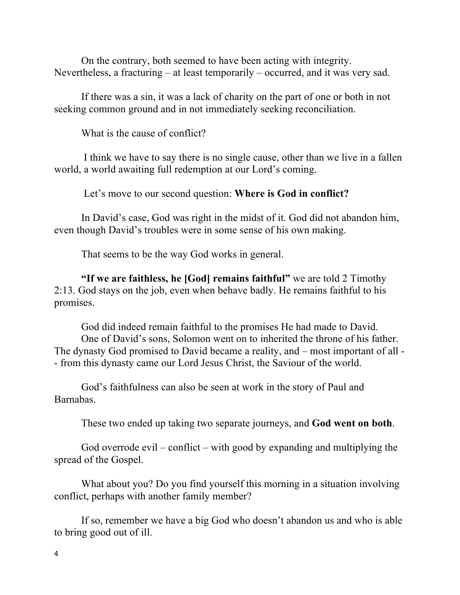On the contrary, both seemed to have been acting with integrity. Nevertheless, a fracturing – at least temporarily – occurred, and it was very sad.

If there was a sin, it was a lack of charity on the part of one or both in not seeking common ground and in not immediately seeking reconciliation.

What is the cause of conflict?

I think we have to say there is no single cause, other than we live in a fallen world, a world awaiting full redemption at our Lord's coming.

Let's move to our second question: **Where is God in conflict?**

In David's case, God was right in the midst of it. God did not abandon him, even though David's troubles were in some sense of his own making.

That seems to be the way God works in general.

**"If we are faithless, he [God] remains faithful"** we are told 2 Timothy 2:13. God stays on the job, even when behave badly. He remains faithful to his promises.

God did indeed remain faithful to the promises He had made to David. One of David's sons, Solomon went on to inherited the throne of his father. The dynasty God promised to David became a reality, and – most important of all - - from this dynasty came our Lord Jesus Christ, the Saviour of the world.

God's faithfulness can also be seen at work in the story of Paul and Barnabas.

These two ended up taking two separate journeys, and **God went on both**.

God overrode evil – conflict – with good by expanding and multiplying the spread of the Gospel.

What about you? Do you find yourself this morning in a situation involving conflict, perhaps with another family member?

If so, remember we have a big God who doesn't abandon us and who is able to bring good out of ill.